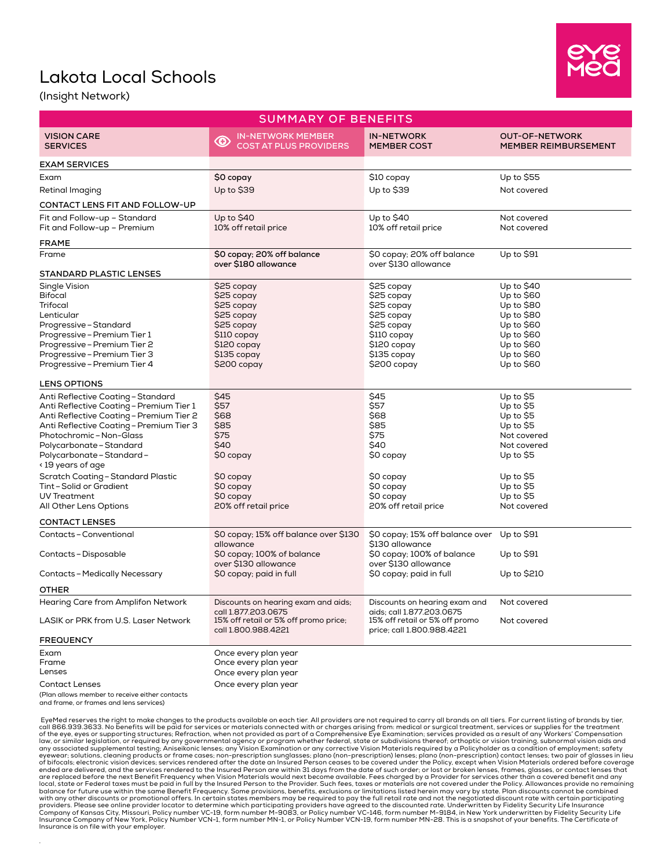## Lakota Local Schools



(Insight Network)

.

| <b>SUMMARY OF BENEFITS</b>                                                                                                                                                                                                                                                                                                                                                                         |                                                                                                                                |                                                                                                                                |                                                                                                                                                   |
|----------------------------------------------------------------------------------------------------------------------------------------------------------------------------------------------------------------------------------------------------------------------------------------------------------------------------------------------------------------------------------------------------|--------------------------------------------------------------------------------------------------------------------------------|--------------------------------------------------------------------------------------------------------------------------------|---------------------------------------------------------------------------------------------------------------------------------------------------|
| <b>VISION CARE</b><br><b>SERVICES</b>                                                                                                                                                                                                                                                                                                                                                              | <b>IN-NETWORK MEMBER</b><br>$\circledcirc$<br><b>COST AT PLUS PROVIDERS</b>                                                    | <b>IN-NETWORK</b><br><b>MEMBER COST</b>                                                                                        | <b>OUT-OF-NETWORK</b><br><b>MEMBER REIMBURSEMENT</b>                                                                                              |
| <b>EXAM SERVICES</b>                                                                                                                                                                                                                                                                                                                                                                               |                                                                                                                                |                                                                                                                                |                                                                                                                                                   |
| Exam                                                                                                                                                                                                                                                                                                                                                                                               | \$0 copay                                                                                                                      | \$10 copay                                                                                                                     | Up to \$55                                                                                                                                        |
| Retinal Imaging                                                                                                                                                                                                                                                                                                                                                                                    | Up to \$39                                                                                                                     | Up to \$39                                                                                                                     | Not covered                                                                                                                                       |
| CONTACT LENS FIT AND FOLLOW-UP                                                                                                                                                                                                                                                                                                                                                                     |                                                                                                                                |                                                                                                                                |                                                                                                                                                   |
| Fit and Follow-up - Standard<br>Fit and Follow-up - Premium                                                                                                                                                                                                                                                                                                                                        | Up to \$40<br>10% off retail price                                                                                             | Up to \$40<br>10% off retail price                                                                                             | Not covered<br>Not covered                                                                                                                        |
| FRAME                                                                                                                                                                                                                                                                                                                                                                                              |                                                                                                                                |                                                                                                                                |                                                                                                                                                   |
| Frame                                                                                                                                                                                                                                                                                                                                                                                              | \$0 copay; 20% off balance<br>over \$180 allowance                                                                             | \$0 copay; 20% off balance<br>over \$130 allowance                                                                             | Up to $$91$                                                                                                                                       |
| <b>STANDARD PLASTIC LENSES</b>                                                                                                                                                                                                                                                                                                                                                                     |                                                                                                                                |                                                                                                                                |                                                                                                                                                   |
| Single Vision<br>Bifocal<br>Trifocal<br>Lenticular<br>Progressive – Standard<br>Progressive - Premium Tier 1<br>Progressive - Premium Tier 2<br>Progressive - Premium Tier 3<br>Progressive - Premium Tier 4                                                                                                                                                                                       | \$25 copay<br>\$25 copay<br>\$25 copay<br>\$25 copay<br>\$25 copay<br>\$110 copay<br>\$120 copay<br>\$135 copay<br>\$200 copay | \$25 copay<br>\$25 copay<br>\$25 copay<br>\$25 copay<br>\$25 copay<br>\$110 copay<br>\$120 copay<br>\$135 copay<br>\$200 copay | Up to $$40$<br>Up to \$60<br>Up to $$80$<br>Up to $$80$<br>Up to $$60$<br>Up to \$60<br>Up to $$60$<br>Up to $$60$<br>Up to $$60$                 |
| <b>LENS OPTIONS</b>                                                                                                                                                                                                                                                                                                                                                                                |                                                                                                                                |                                                                                                                                |                                                                                                                                                   |
| Anti Reflective Coating - Standard<br>Anti Reflective Coating - Premium Tier 1<br>Anti Reflective Coating - Premium Tier 2<br>Anti Reflective Coating - Premium Tier 3<br>Photochromic - Non-Glass<br>Polycarbonate - Standard<br>Polycarbonate - Standard -<br>< 19 years of age<br><b>Scratch Coating - Standard Plastic</b><br>Tint-Solid or Gradient<br>UV Treatment<br>All Other Lens Options | \$45<br>\$57<br>\$68<br>\$85<br>\$75<br>\$40<br>\$0 copay<br>\$0 copay<br>\$0 copay<br>\$0 copay<br>20% off retail price       | \$45<br>\$57<br>\$68<br>\$85<br>\$75<br>\$40<br>\$0 copay<br>\$0 copay<br>\$0 copay<br>\$0 copay<br>20% off retail price       | Up to \$5<br>Up to \$5<br>Up to \$5<br>Up to \$5<br>Not covered<br>Not covered<br>Up to \$5<br>Up to \$5<br>Up to \$5<br>Up to \$5<br>Not covered |
|                                                                                                                                                                                                                                                                                                                                                                                                    |                                                                                                                                |                                                                                                                                |                                                                                                                                                   |
| <b>CONTACT LENSES</b><br>Contacts - Conventional<br>Contacts - Disposable                                                                                                                                                                                                                                                                                                                          | \$0 copay; 15% off balance over \$130<br>allowance<br>\$0 copay; 100% of balance<br>over \$130 allowance                       | \$0 copay; 15% off balance over<br>\$130 allowance<br>\$0 copay; 100% of balance<br>over \$130 allowance                       | Up to \$91<br>Up to \$91                                                                                                                          |
| Contacts-Medically Necessary                                                                                                                                                                                                                                                                                                                                                                       | \$0 copay; paid in full                                                                                                        | \$0 copay; paid in full                                                                                                        | Up to \$210                                                                                                                                       |
| OTHER                                                                                                                                                                                                                                                                                                                                                                                              |                                                                                                                                |                                                                                                                                |                                                                                                                                                   |
| <b>Hearing Care from Amplifon Network</b>                                                                                                                                                                                                                                                                                                                                                          | Discounts on hearing exam and aids;                                                                                            | Discounts on hearing exam and                                                                                                  | Not covered                                                                                                                                       |
| LASIK or PRK from U.S. Laser Network                                                                                                                                                                                                                                                                                                                                                               | call 1.877.203.0675<br>15% off retail or 5% off promo price;<br>call 1.800.988.4221                                            | aids; call 1.877.203.0675<br>15% off retail or 5% off promo<br>price; call 1.800.988.4221                                      | Not covered                                                                                                                                       |
| <b>FREQUENCY</b>                                                                                                                                                                                                                                                                                                                                                                                   |                                                                                                                                |                                                                                                                                |                                                                                                                                                   |
| Exam<br>Frame<br>Lenses<br><b>Contact Lenses</b><br>(Plan allows member to receive either contacts<br>and frame, or frames and lens services)                                                                                                                                                                                                                                                      | Once every plan year<br>Once every plan year<br>Once every plan year<br>Once every plan year                                   |                                                                                                                                |                                                                                                                                                   |

EyeMed reserves the right to make changes to the products available on each tier. All providers are not required to carry all brands on all tiers. For current listing of brands by tier,<br>call 866.939.363. No benefits will b are replaced before the next Benefit Frequency when Vision Materials would next become available. Fees charged by a Provider for services other than a covered benefit and any<br>local, state or Federal taxes must be paid in f providers. Please see online provider locator to determine which participating providers have agreed to the discounted rate. Underwritten by Fidelity Security Life Insurance<br>Company of Kansas City, Missouri, Policy number